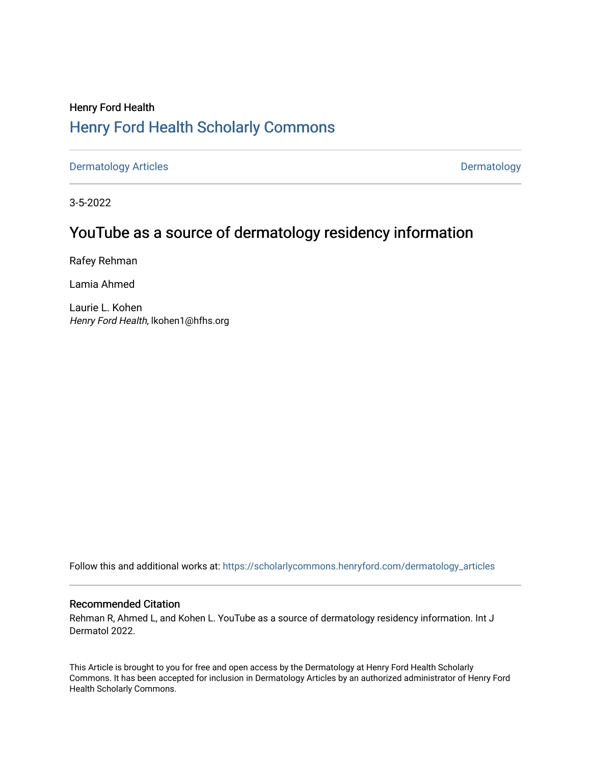# Henry Ford Health [Henry Ford Health Scholarly Commons](https://scholarlycommons.henryford.com/)

[Dermatology Articles](https://scholarlycommons.henryford.com/dermatology_articles) **Dermatology** 

3-5-2022

## YouTube as a source of dermatology residency information

Rafey Rehman

Lamia Ahmed

Laurie L. Kohen Henry Ford Health, lkohen1@hfhs.org

Follow this and additional works at: [https://scholarlycommons.henryford.com/dermatology\\_articles](https://scholarlycommons.henryford.com/dermatology_articles?utm_source=scholarlycommons.henryford.com%2Fdermatology_articles%2F658&utm_medium=PDF&utm_campaign=PDFCoverPages)

### Recommended Citation

Rehman R, Ahmed L, and Kohen L. YouTube as a source of dermatology residency information. Int J Dermatol 2022.

This Article is brought to you for free and open access by the Dermatology at Henry Ford Health Scholarly Commons. It has been accepted for inclusion in Dermatology Articles by an authorized administrator of Henry Ford Health Scholarly Commons.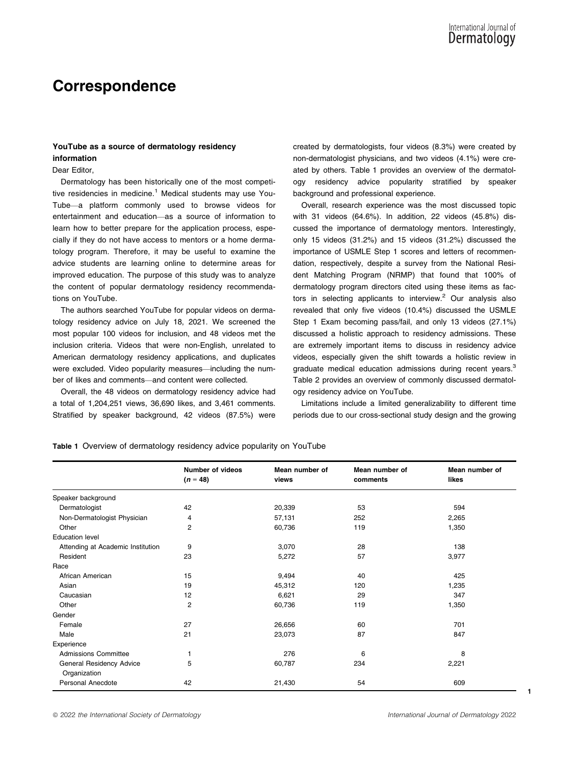## Correspondence

### YouTube as a source of dermatology residency information

### Dear Editor,

Dermatology has been historically one of the most competitive residencies in medicine.<sup>1</sup> Medical students may use You-Tube—a platform commonly used to browse videos for entertainment and education—as a source of information to learn how to better prepare for the application process, especially if they do not have access to mentors or a home dermatology program. Therefore, it may be useful to examine the advice students are learning online to determine areas for improved education. The purpose of this study was to analyze the content of popular dermatology residency recommendations on YouTube.

The authors searched YouTube for popular videos on dermatology residency advice on July 18, 2021. We screened the most popular 100 videos for inclusion, and 48 videos met the inclusion criteria. Videos that were non-English, unrelated to American dermatology residency applications, and duplicates were excluded. Video popularity measures—including the number of likes and comments—and content were collected.

Overall, the 48 videos on dermatology residency advice had a total of 1,204,251 views, 36,690 likes, and 3,461 comments. Stratified by speaker background, 42 videos (87.5%) were

created by dermatologists, four videos (8.3%) were created by non-dermatologist physicians, and two videos (4.1%) were created by others. Table 1 provides an overview of the dermatology residency advice popularity stratified by speaker background and professional experience.

Overall, research experience was the most discussed topic with 31 videos (64.6%). In addition, 22 videos (45.8%) discussed the importance of dermatology mentors. Interestingly, only 15 videos (31.2%) and 15 videos (31.2%) discussed the importance of USMLE Step 1 scores and letters of recommendation, respectively, despite a survey from the National Resident Matching Program (NRMP) that found that 100% of dermatology program directors cited using these items as factors in selecting applicants to interview. $2$  Our analysis also revealed that only five videos (10.4%) discussed the USMLE Step 1 Exam becoming pass/fail, and only 13 videos (27.1%) discussed a holistic approach to residency admissions. These are extremely important items to discuss in residency advice videos, especially given the shift towards a holistic review in graduate medical education admissions during recent years.<sup>3</sup> Table 2 provides an overview of commonly discussed dermatology residency advice on YouTube.

Limitations include a limited generalizability to different time periods due to our cross-sectional study design and the growing

Table 1 Overview of dermatology residency advice popularity on YouTube

|                                   | <b>Number of videos</b> | Mean number of | Mean number of | Mean number of |
|-----------------------------------|-------------------------|----------------|----------------|----------------|
|                                   | $(n = 48)$              | views          | comments       | likes          |
| Speaker background                |                         |                |                |                |
| Dermatologist                     | 42                      | 20,339         | 53             | 594            |
| Non-Dermatologist Physician       | 4                       | 57,131         | 252            | 2,265          |
| Other                             | 2                       | 60,736         | 119            | 1,350          |
| <b>Education level</b>            |                         |                |                |                |
| Attending at Academic Institution | 9                       | 3,070          | 28             | 138            |
| Resident                          | 23                      | 5,272          | 57             | 3,977          |
| Race                              |                         |                |                |                |
| African American                  | 15                      | 9,494          | 40             | 425            |
| Asian                             | 19                      | 45,312         | 120            | 1,235          |
| Caucasian                         | 12                      | 6,621          | 29             | 347            |
| Other                             | $\overline{2}$          | 60,736         | 119            | 1,350          |
| Gender                            |                         |                |                |                |
| Female                            | 27                      | 26,656         | 60             | 701            |
| Male                              | 21                      | 23,073         | 87             | 847            |
| Experience                        |                         |                |                |                |
| Admissions Committee              | 1                       | 276            | 6              | 8              |
| General Residency Advice          | 5                       | 60,787         | 234            | 2,221          |
| Organization                      |                         |                |                |                |
| Personal Anecdote                 | 42                      | 21,430         | 54             | 609            |

© 2022 the International Society of Dermatology International Journal of Dermatology 2022